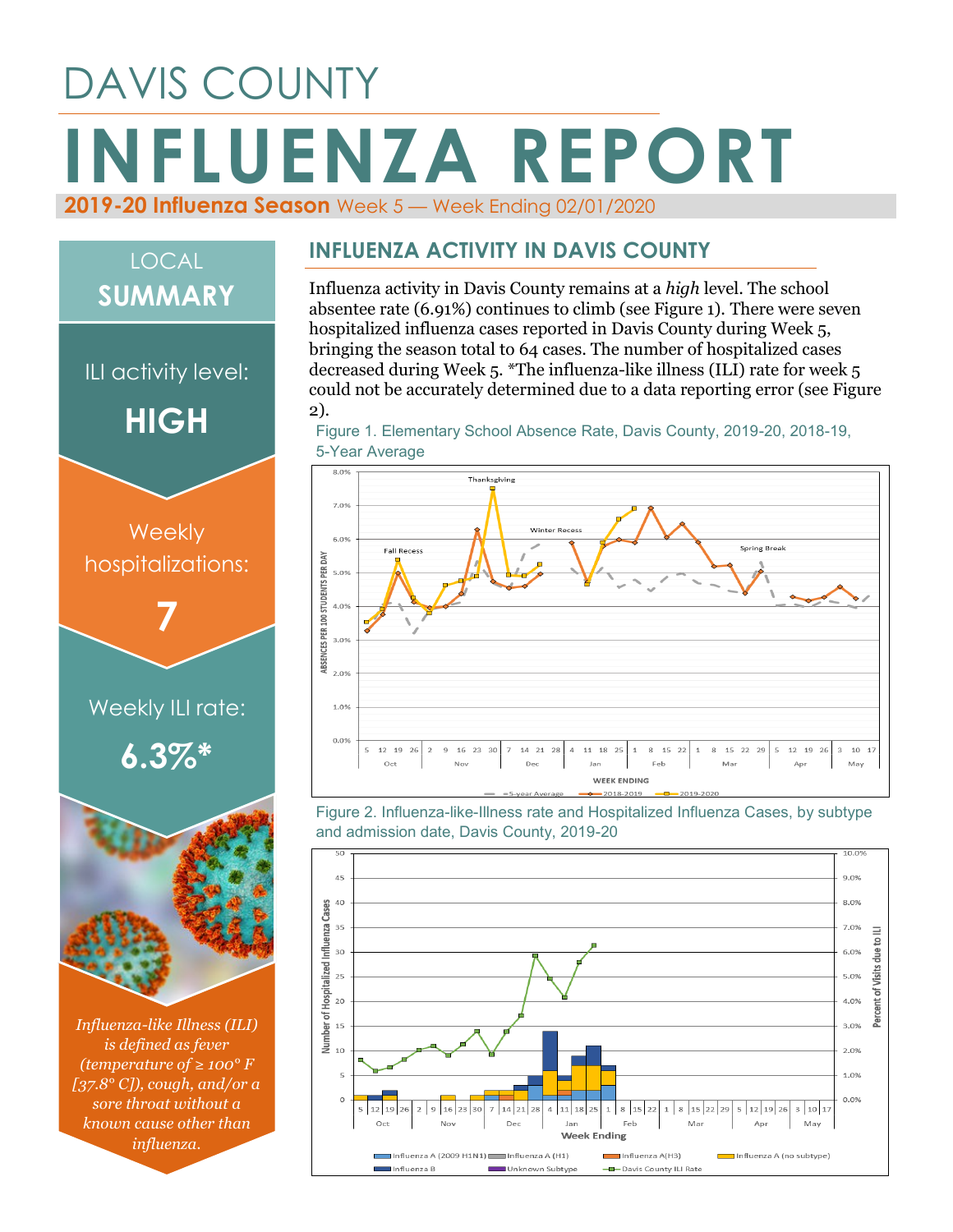# DAVIS COUNTY **INFLUENZA REPORT 2019-20 Influenza Season** Week 5 — Week Ending 02/01/2020



*[37.8° C]), cough, and/or a sore throat without a known cause other than influenza.*

#### **INFLUENZA ACTIVITY IN DAVIS COUNTY**

Influenza activity in Davis County remains at a *high* level. The school absentee rate (6.91%) continues to climb (see Figure 1). There were seven hospitalized influenza cases reported in Davis County during Week 5, bringing the season total to 64 cases. The number of hospitalized cases decreased during Week 5. \*The influenza-like illness (ILI) rate for week 5 could not be accurately determined due to a data reporting error (see Figure 2).

Figure 1. Elementary School Absence Rate, Davis County, 2019-20, 2018-19, 5-Year Average



Figure 2. Influenza-like-Illness rate and Hospitalized Influenza Cases, by subtype and admission date, Davis County, 2019-20